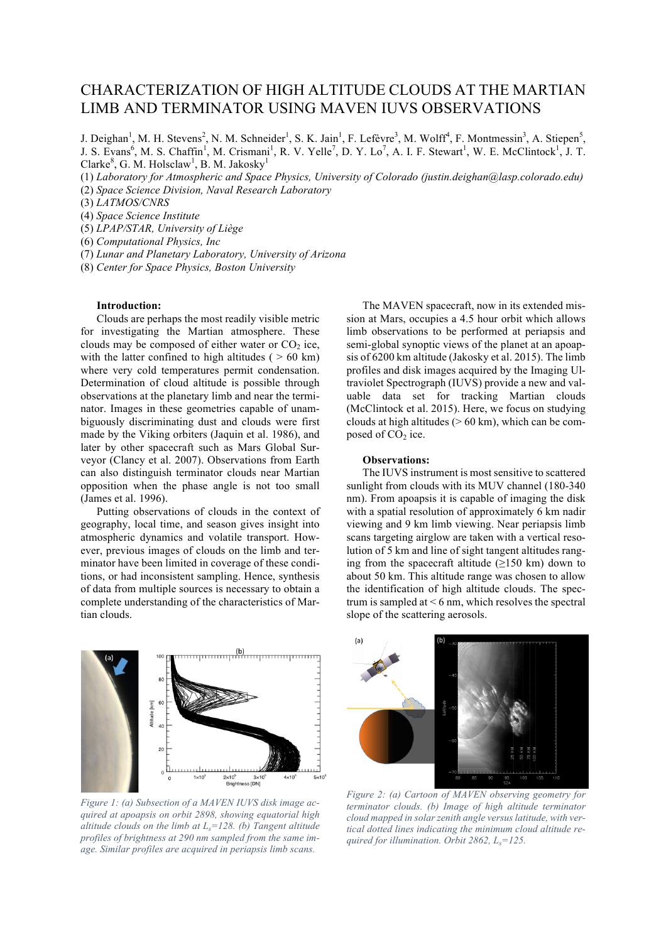## CHARACTERIZATION OF HIGH ALTITUDE CLOUDS AT THE MARTIAN LIMB AND TERMINATOR USING MAVEN IUVS OBSERVATIONS

J. Deighan<sup>1</sup>, M. H. Stevens<sup>2</sup>, N. M. Schneider<sup>1</sup>, S. K. Jain<sup>1</sup>, F. Lefèvre<sup>3</sup>, M. Wolff<sup>4</sup>, F. Montmessin<sup>3</sup>, A. Stiepen<sup>5</sup>, J. S. Evans<sup>6</sup>, M. S. Chaffin<sup>1</sup>, M. Crismani<sup>1</sup>, R. V. Yelle<sup>7</sup>, D. Y. Lo<sup>7</sup>, A. I. F. Stewart<sup>1</sup>, W. E. McClintock<sup>1</sup>, J. T. Clarke<sup>8</sup>, G. M. Holsclaw<sup>1</sup>, B. M. Jakosky<sup>1</sup>

(1) *Laboratory for Atmospheric and Space Physics, University of Colorado (justin.deighan@lasp.colorado.edu)*

(2) *Space Science Division, Naval Research Laboratory*

(3) *LATMOS/CNRS*

(4) *Space Science Institute*

(5) *LPAP/STAR, University of Liège*

(6) *Computational Physics, Inc*

(7) *Lunar and Planetary Laboratory, University of Arizona*

(8) *Center for Space Physics, Boston University*

## **Introduction:**

Clouds are perhaps the most readily visible metric for investigating the Martian atmosphere. These clouds may be composed of either water or  $CO<sub>2</sub>$  ice, with the latter confined to high altitudes ( $> 60 \text{ km}$ ) where very cold temperatures permit condensation. Determination of cloud altitude is possible through observations at the planetary limb and near the terminator. Images in these geometries capable of unambiguously discriminating dust and clouds were first made by the Viking orbiters (Jaquin et al. 1986), and later by other spacecraft such as Mars Global Surveyor (Clancy et al. 2007). Observations from Earth can also distinguish terminator clouds near Martian opposition when the phase angle is not too small (James et al. 1996).

Putting observations of clouds in the context of geography, local time, and season gives insight into atmospheric dynamics and volatile transport. However, previous images of clouds on the limb and terminator have been limited in coverage of these conditions, or had inconsistent sampling. Hence, synthesis of data from multiple sources is necessary to obtain a complete understanding of the characteristics of Martian clouds.



*Figure 1: (a) Subsection of a MAVEN IUVS disk image acquired at apoapsis on orbit 2898, showing equatorial high altitude clouds on the limb at Ls=128. (b) Tangent altitude profiles of brightness at 290 nm sampled from the same image. Similar profiles are acquired in periapsis limb scans.*

The MAVEN spacecraft, now in its extended mission at Mars, occupies a 4.5 hour orbit which allows limb observations to be performed at periapsis and semi-global synoptic views of the planet at an apoapsis of 6200 km altitude (Jakosky et al. 2015). The limb profiles and disk images acquired by the Imaging Ultraviolet Spectrograph (IUVS) provide a new and valuable data set for tracking Martian clouds (McClintock et al. 2015). Here, we focus on studying clouds at high altitudes ( $> 60$  km), which can be composed of  $CO<sub>2</sub>$  ice.

## **Observations:**

The IUVS instrument is most sensitive to scattered sunlight from clouds with its MUV channel (180-340 nm). From apoapsis it is capable of imaging the disk with a spatial resolution of approximately 6 km nadir viewing and 9 km limb viewing. Near periapsis limb scans targeting airglow are taken with a vertical resolution of 5 km and line of sight tangent altitudes ranging from the spacecraft altitude  $(\geq 150 \text{ km})$  down to about 50 km. This altitude range was chosen to allow the identification of high altitude clouds. The spectrum is sampled at  $\leq 6$  nm, which resolves the spectral slope of the scattering aerosols.



*Figure 2: (a) Cartoon of MAVEN observing geometry for terminator clouds. (b) Image of high altitude terminator cloud mapped in solar zenith angle versus latitude, with vertical dotted lines indicating the minimum cloud altitude required for illumination. Orbit 2862, Ls=125.*